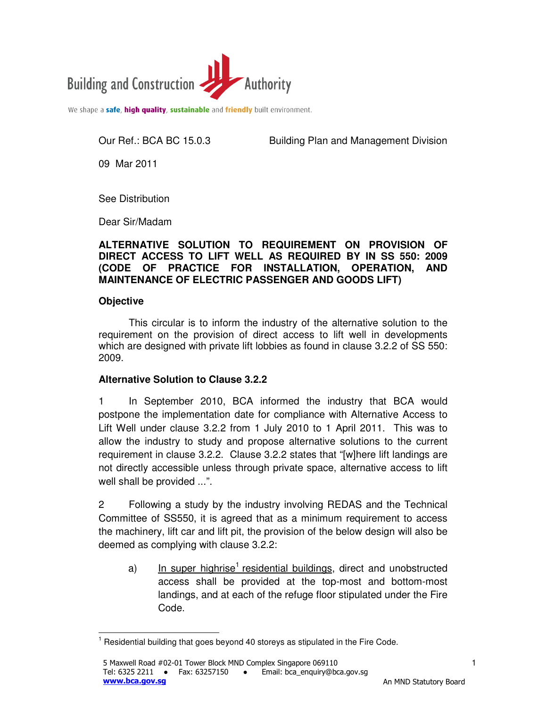

We shape a safe, high quality, sustainable and friendly built environment.

Our Ref.: BCA BC 15.0.3 Building Plan and Management Division

09 Mar 2011

See Distribution

Dear Sir/Madam

## **ALTERNATIVE SOLUTION TO REQUIREMENT ON PROVISION OF DIRECT ACCESS TO LIFT WELL AS REQUIRED BY IN SS 550: 2009 (CODE OF PRACTICE FOR INSTALLATION, OPERATION, AND MAINTENANCE OF ELECTRIC PASSENGER AND GOODS LIFT)**

### **Objective**

This circular is to inform the industry of the alternative solution to the requirement on the provision of direct access to lift well in developments which are designed with private lift lobbies as found in clause 3.2.2 of SS 550: 2009.

## **Alternative Solution to Clause 3.2.2**

1 In September 2010, BCA informed the industry that BCA would postpone the implementation date for compliance with Alternative Access to Lift Well under clause 3.2.2 from 1 July 2010 to 1 April 2011. This was to allow the industry to study and propose alternative solutions to the current requirement in clause 3.2.2. Clause 3.2.2 states that "[w]here lift landings are not directly accessible unless through private space, alternative access to lift well shall be provided ...".

2 Following a study by the industry involving REDAS and the Technical Committee of SS550, it is agreed that as a minimum requirement to access the machinery, lift car and lift pit, the provision of the below design will also be deemed as complying with clause 3.2.2:

a) In super highrise<sup>1</sup> residential buildings, direct and unobstructed access shall be provided at the top-most and bottom-most landings, and at each of the refuge floor stipulated under the Fire Code.

 $\overline{\phantom{a}}$  $1$  Residential building that goes beyond 40 storeys as stipulated in the Fire Code.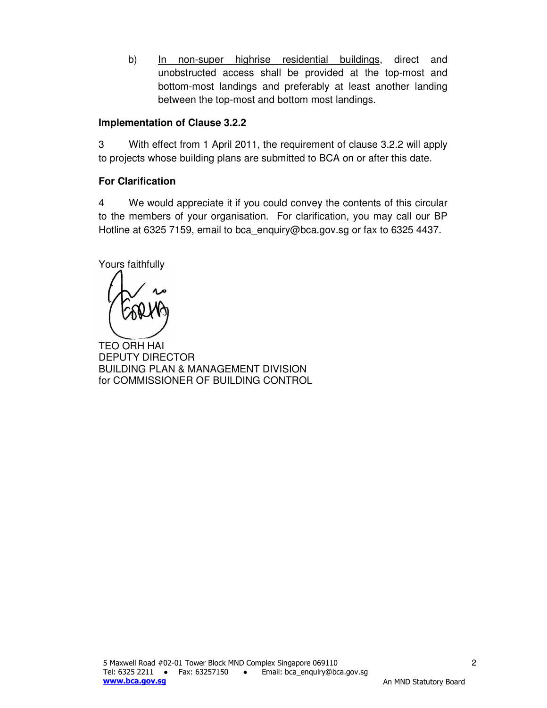b) In non-super highrise residential buildings, direct and unobstructed access shall be provided at the top-most and bottom-most landings and preferably at least another landing between the top-most and bottom most landings.

## **Implementation of Clause 3.2.2**

3 With effect from 1 April 2011, the requirement of clause 3.2.2 will apply to projects whose building plans are submitted to BCA on or after this date.

# **For Clarification**

4 We would appreciate it if you could convey the contents of this circular to the members of your organisation. For clarification, you may call our BP Hotline at 6325 7159, email to bca\_enquiry@bca.gov.sg or fax to 6325 4437.

Yours faithfully

TEO ORH HAI DEPUTY DIRECTOR BUILDING PLAN & MANAGEMENT DIVISION for COMMISSIONER OF BUILDING CONTROL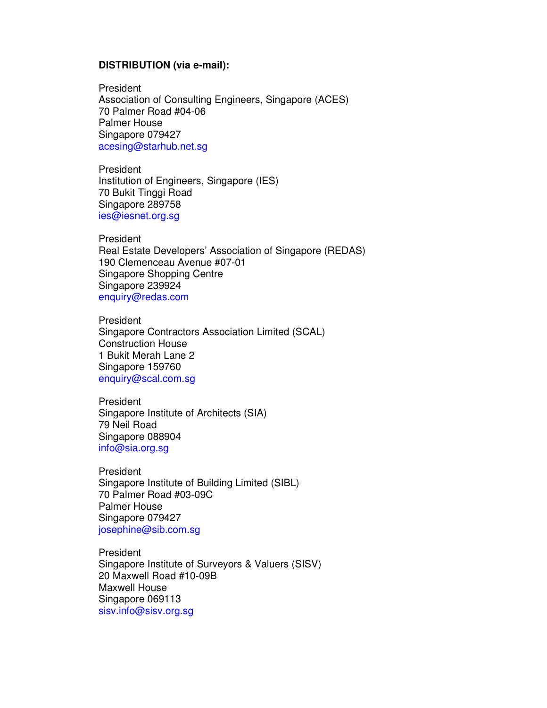#### **DISTRIBUTION (via e-mail):**

President Association of Consulting Engineers, Singapore (ACES) 70 Palmer Road #04-06 Palmer House Singapore 079427 acesing@starhub.net.sg

President Institution of Engineers, Singapore (IES) 70 Bukit Tinggi Road Singapore 289758 ies@iesnet.org.sg

President Real Estate Developers' Association of Singapore (REDAS) 190 Clemenceau Avenue #07-01 Singapore Shopping Centre Singapore 239924 enquiry@redas.com

**President** Singapore Contractors Association Limited (SCAL) Construction House 1 Bukit Merah Lane 2 Singapore 159760 enquiry@scal.com.sg

President Singapore Institute of Architects (SIA) 79 Neil Road Singapore 088904 info@sia.org.sg

President Singapore Institute of Building Limited (SIBL) 70 Palmer Road #03-09C Palmer House Singapore 079427 josephine@sib.com.sg

President Singapore Institute of Surveyors & Valuers (SISV) 20 Maxwell Road #10-09B Maxwell House Singapore 069113 sisv.info@sisv.org.sg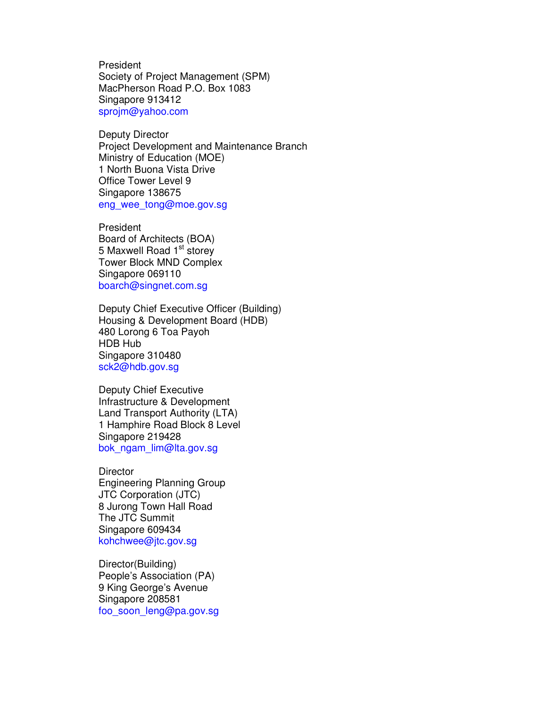President Society of Project Management (SPM) MacPherson Road P.O. Box 1083 Singapore 913412 sprojm@yahoo.com

Deputy Director Project Development and Maintenance Branch Ministry of Education (MOE) 1 North Buona Vista Drive Office Tower Level 9 Singapore 138675 eng\_wee\_tong@moe.gov.sg

President Board of Architects (BOA) 5 Maxwell Road 1<sup>st</sup> storey Tower Block MND Complex Singapore 069110 boarch@singnet.com.sg

Deputy Chief Executive Officer (Building) Housing & Development Board (HDB) 480 Lorong 6 Toa Payoh HDB Hub Singapore 310480 sck2@hdb.gov.sg

Deputy Chief Executive Infrastructure & Development Land Transport Authority (LTA) 1 Hamphire Road Block 8 Level Singapore 219428 bok\_ngam\_lim@lta.gov.sg

**Director** Engineering Planning Group JTC Corporation (JTC) 8 Jurong Town Hall Road The JTC Summit Singapore 609434 kohchwee@jtc.gov.sg

Director(Building) People's Association (PA) 9 King George's Avenue Singapore 208581 foo\_soon\_leng@pa.gov.sg